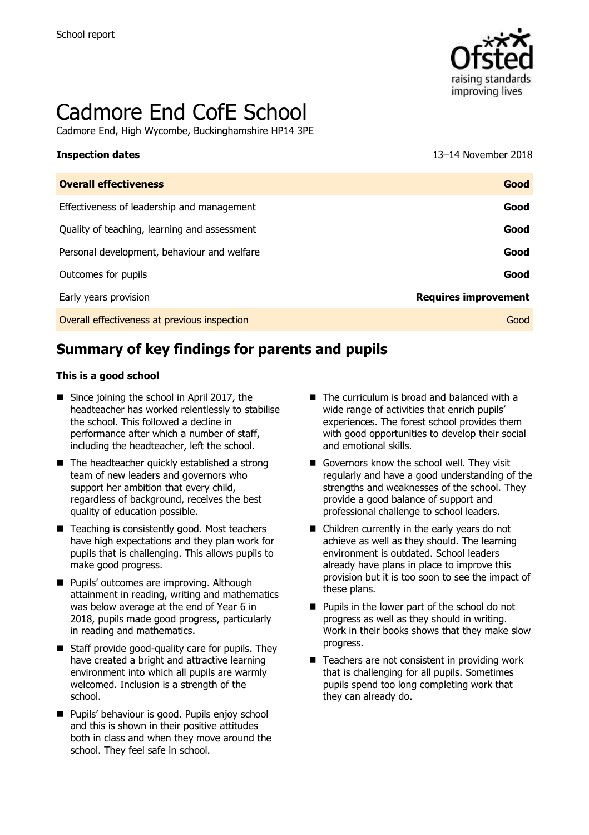

# Cadmore End CofE School

Cadmore End, High Wycombe, Buckinghamshire HP14 3PE

#### **Inspection dates** 13–14 November 2018

| <b>Overall effectiveness</b>                 | Good                        |
|----------------------------------------------|-----------------------------|
| Effectiveness of leadership and management   | Good                        |
| Quality of teaching, learning and assessment | Good                        |
| Personal development, behaviour and welfare  | Good                        |
| Outcomes for pupils                          | Good                        |
| Early years provision                        | <b>Requires improvement</b> |
| Overall effectiveness at previous inspection | Good                        |

# **Summary of key findings for parents and pupils**

#### **This is a good school**

- Since joining the school in April 2017, the headteacher has worked relentlessly to stabilise the school. This followed a decline in performance after which a number of staff, including the headteacher, left the school.
- $\blacksquare$  The headteacher quickly established a strong team of new leaders and governors who support her ambition that every child, regardless of background, receives the best quality of education possible.
- Teaching is consistently good. Most teachers have high expectations and they plan work for pupils that is challenging. This allows pupils to make good progress.
- **Pupils' outcomes are improving. Although** attainment in reading, writing and mathematics was below average at the end of Year 6 in 2018, pupils made good progress, particularly in reading and mathematics.
- $\blacksquare$  Staff provide good-quality care for pupils. They have created a bright and attractive learning environment into which all pupils are warmly welcomed. Inclusion is a strength of the school.
- **Pupils' behaviour is good. Pupils enjoy school** and this is shown in their positive attitudes both in class and when they move around the school. They feel safe in school.
- $\blacksquare$  The curriculum is broad and balanced with a wide range of activities that enrich pupils' experiences. The forest school provides them with good opportunities to develop their social and emotional skills.
- Governors know the school well. They visit regularly and have a good understanding of the strengths and weaknesses of the school. They provide a good balance of support and professional challenge to school leaders.
- Children currently in the early years do not achieve as well as they should. The learning environment is outdated. School leaders already have plans in place to improve this provision but it is too soon to see the impact of these plans.
- Pupils in the lower part of the school do not progress as well as they should in writing. Work in their books shows that they make slow progress.
- $\blacksquare$  Teachers are not consistent in providing work that is challenging for all pupils. Sometimes pupils spend too long completing work that they can already do.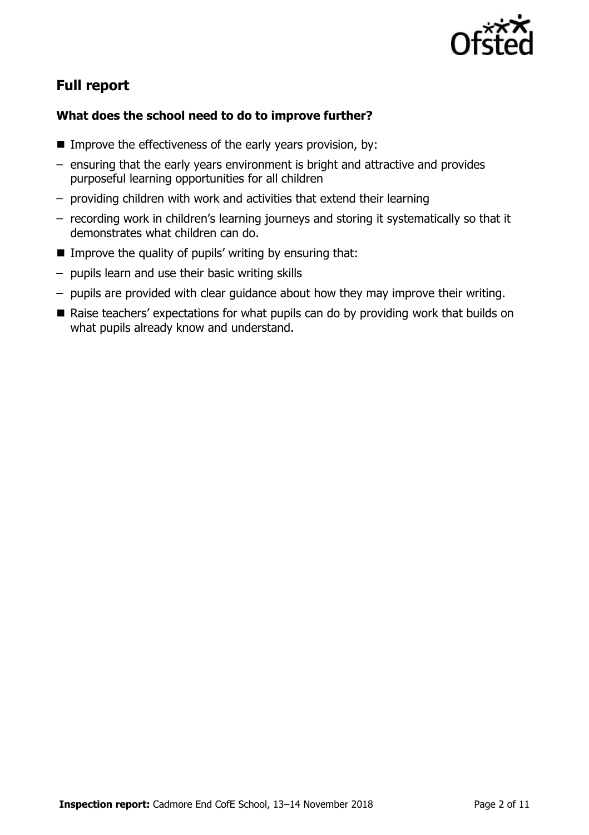

# **Full report**

### **What does the school need to do to improve further?**

- Improve the effectiveness of the early years provision, by:
- ensuring that the early years environment is bright and attractive and provides purposeful learning opportunities for all children
- providing children with work and activities that extend their learning
- recording work in children's learning journeys and storing it systematically so that it demonstrates what children can do.
- $\blacksquare$  Improve the quality of pupils' writing by ensuring that:
- pupils learn and use their basic writing skills
- pupils are provided with clear guidance about how they may improve their writing.
- Raise teachers' expectations for what pupils can do by providing work that builds on what pupils already know and understand.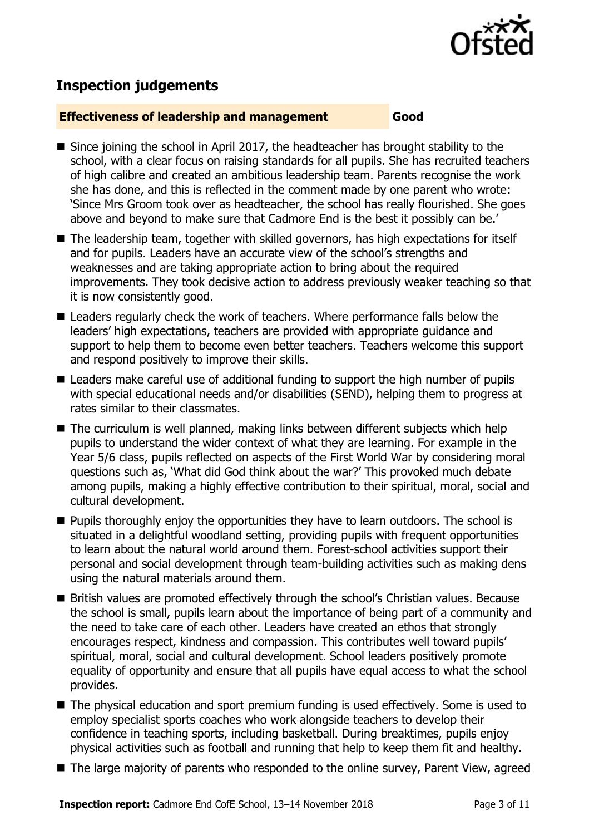

# **Inspection judgements**

#### **Effectiveness of leadership and management Good**

- Since joining the school in April 2017, the headteacher has brought stability to the school, with a clear focus on raising standards for all pupils. She has recruited teachers of high calibre and created an ambitious leadership team. Parents recognise the work she has done, and this is reflected in the comment made by one parent who wrote: 'Since Mrs Groom took over as headteacher, the school has really flourished. She goes above and beyond to make sure that Cadmore End is the best it possibly can be.'
- The leadership team, together with skilled governors, has high expectations for itself and for pupils. Leaders have an accurate view of the school's strengths and weaknesses and are taking appropriate action to bring about the required improvements. They took decisive action to address previously weaker teaching so that it is now consistently good.
- Leaders regularly check the work of teachers. Where performance falls below the leaders' high expectations, teachers are provided with appropriate guidance and support to help them to become even better teachers. Teachers welcome this support and respond positively to improve their skills.
- Leaders make careful use of additional funding to support the high number of pupils with special educational needs and/or disabilities (SEND), helping them to progress at rates similar to their classmates.
- The curriculum is well planned, making links between different subiects which help pupils to understand the wider context of what they are learning. For example in the Year 5/6 class, pupils reflected on aspects of the First World War by considering moral questions such as, 'What did God think about the war?' This provoked much debate among pupils, making a highly effective contribution to their spiritual, moral, social and cultural development.
- $\blacksquare$  Pupils thoroughly enjoy the opportunities they have to learn outdoors. The school is situated in a delightful woodland setting, providing pupils with frequent opportunities to learn about the natural world around them. Forest-school activities support their personal and social development through team-building activities such as making dens using the natural materials around them.
- British values are promoted effectively through the school's Christian values. Because the school is small, pupils learn about the importance of being part of a community and the need to take care of each other. Leaders have created an ethos that strongly encourages respect, kindness and compassion. This contributes well toward pupils' spiritual, moral, social and cultural development. School leaders positively promote equality of opportunity and ensure that all pupils have equal access to what the school provides.
- The physical education and sport premium funding is used effectively. Some is used to employ specialist sports coaches who work alongside teachers to develop their confidence in teaching sports, including basketball. During breaktimes, pupils enjoy physical activities such as football and running that help to keep them fit and healthy.
- The large majority of parents who responded to the online survey, Parent View, agreed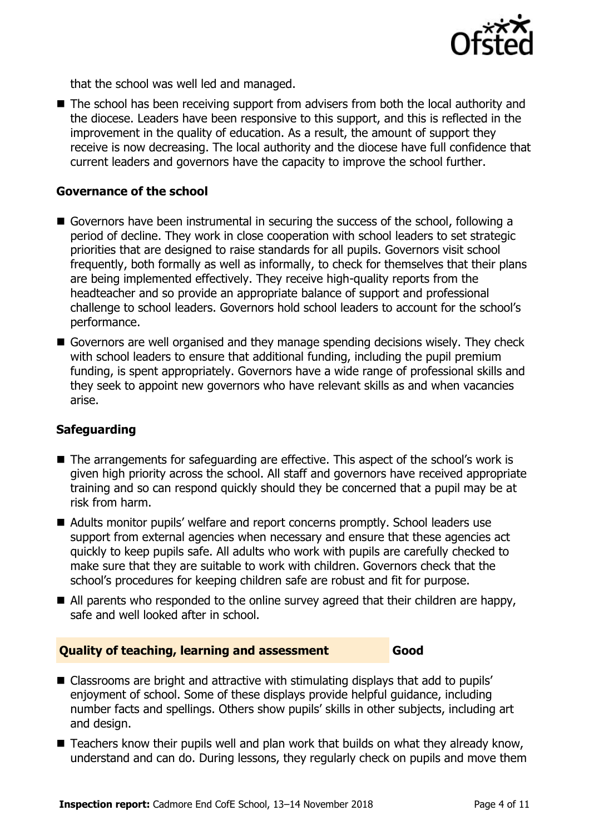

that the school was well led and managed.

■ The school has been receiving support from advisers from both the local authority and the diocese. Leaders have been responsive to this support, and this is reflected in the improvement in the quality of education. As a result, the amount of support they receive is now decreasing. The local authority and the diocese have full confidence that current leaders and governors have the capacity to improve the school further.

#### **Governance of the school**

- Governors have been instrumental in securing the success of the school, following a period of decline. They work in close cooperation with school leaders to set strategic priorities that are designed to raise standards for all pupils. Governors visit school frequently, both formally as well as informally, to check for themselves that their plans are being implemented effectively. They receive high-quality reports from the headteacher and so provide an appropriate balance of support and professional challenge to school leaders. Governors hold school leaders to account for the school's performance.
- Governors are well organised and they manage spending decisions wisely. They check with school leaders to ensure that additional funding, including the pupil premium funding, is spent appropriately. Governors have a wide range of professional skills and they seek to appoint new governors who have relevant skills as and when vacancies arise.

#### **Safeguarding**

- The arrangements for safeguarding are effective. This aspect of the school's work is given high priority across the school. All staff and governors have received appropriate training and so can respond quickly should they be concerned that a pupil may be at risk from harm.
- Adults monitor pupils' welfare and report concerns promptly. School leaders use support from external agencies when necessary and ensure that these agencies act quickly to keep pupils safe. All adults who work with pupils are carefully checked to make sure that they are suitable to work with children. Governors check that the school's procedures for keeping children safe are robust and fit for purpose.
- All parents who responded to the online survey agreed that their children are happy, safe and well looked after in school.

#### **Quality of teaching, learning and assessment Good**

- Classrooms are bright and attractive with stimulating displays that add to pupils' enjoyment of school. Some of these displays provide helpful guidance, including number facts and spellings. Others show pupils' skills in other subjects, including art and design.
- Teachers know their pupils well and plan work that builds on what they already know, understand and can do. During lessons, they regularly check on pupils and move them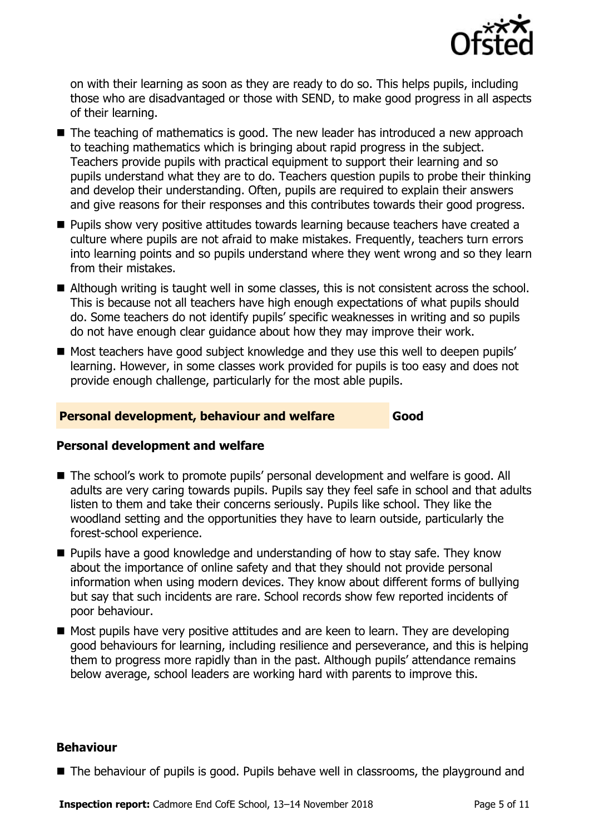

on with their learning as soon as they are ready to do so. This helps pupils, including those who are disadvantaged or those with SEND, to make good progress in all aspects of their learning.

- The teaching of mathematics is good. The new leader has introduced a new approach to teaching mathematics which is bringing about rapid progress in the subject. Teachers provide pupils with practical equipment to support their learning and so pupils understand what they are to do. Teachers question pupils to probe their thinking and develop their understanding. Often, pupils are required to explain their answers and give reasons for their responses and this contributes towards their good progress.
- **Pupils show very positive attitudes towards learning because teachers have created a** culture where pupils are not afraid to make mistakes. Frequently, teachers turn errors into learning points and so pupils understand where they went wrong and so they learn from their mistakes.
- Although writing is taught well in some classes, this is not consistent across the school. This is because not all teachers have high enough expectations of what pupils should do. Some teachers do not identify pupils' specific weaknesses in writing and so pupils do not have enough clear guidance about how they may improve their work.
- Most teachers have good subject knowledge and they use this well to deepen pupils' learning. However, in some classes work provided for pupils is too easy and does not provide enough challenge, particularly for the most able pupils.

#### **Personal development, behaviour and welfare Good**

#### **Personal development and welfare**

- The school's work to promote pupils' personal development and welfare is good. All adults are very caring towards pupils. Pupils say they feel safe in school and that adults listen to them and take their concerns seriously. Pupils like school. They like the woodland setting and the opportunities they have to learn outside, particularly the forest-school experience.
- Pupils have a good knowledge and understanding of how to stav safe. They know about the importance of online safety and that they should not provide personal information when using modern devices. They know about different forms of bullying but say that such incidents are rare. School records show few reported incidents of poor behaviour.
- Most pupils have very positive attitudes and are keen to learn. They are developing good behaviours for learning, including resilience and perseverance, and this is helping them to progress more rapidly than in the past. Although pupils' attendance remains below average, school leaders are working hard with parents to improve this.

#### **Behaviour**

■ The behaviour of pupils is good. Pupils behave well in classrooms, the playground and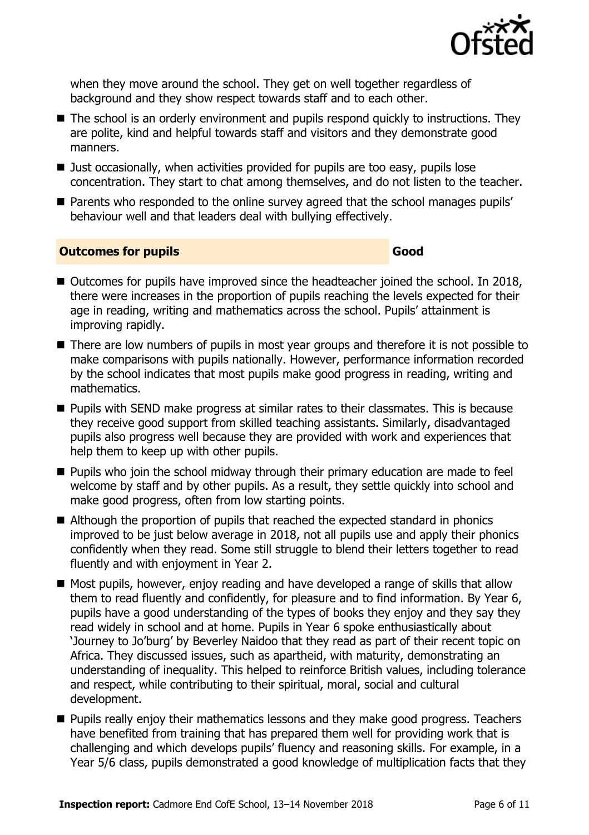

when they move around the school. They get on well together regardless of background and they show respect towards staff and to each other.

- The school is an orderly environment and pupils respond quickly to instructions. They are polite, kind and helpful towards staff and visitors and they demonstrate good manners.
- Just occasionally, when activities provided for pupils are too easy, pupils lose concentration. They start to chat among themselves, and do not listen to the teacher.
- **Parents who responded to the online survey agreed that the school manages pupils'** behaviour well and that leaders deal with bullying effectively.

#### **Outcomes for pupils Good**

- Outcomes for pupils have improved since the headteacher joined the school. In 2018, there were increases in the proportion of pupils reaching the levels expected for their age in reading, writing and mathematics across the school. Pupils' attainment is improving rapidly.
- There are low numbers of pupils in most year groups and therefore it is not possible to make comparisons with pupils nationally. However, performance information recorded by the school indicates that most pupils make good progress in reading, writing and mathematics.
- **Pupils with SEND make progress at similar rates to their classmates. This is because** they receive good support from skilled teaching assistants. Similarly, disadvantaged pupils also progress well because they are provided with work and experiences that help them to keep up with other pupils.
- **Pupils who join the school midway through their primary education are made to feel** welcome by staff and by other pupils. As a result, they settle quickly into school and make good progress, often from low starting points.
- Although the proportion of pupils that reached the expected standard in phonics improved to be just below average in 2018, not all pupils use and apply their phonics confidently when they read. Some still struggle to blend their letters together to read fluently and with enjoyment in Year 2.
- Most pupils, however, enjoy reading and have developed a range of skills that allow them to read fluently and confidently, for pleasure and to find information. By Year 6, pupils have a good understanding of the types of books they enjoy and they say they read widely in school and at home. Pupils in Year 6 spoke enthusiastically about 'Journey to Jo'burg' by Beverley Naidoo that they read as part of their recent topic on Africa. They discussed issues, such as apartheid, with maturity, demonstrating an understanding of inequality. This helped to reinforce British values, including tolerance and respect, while contributing to their spiritual, moral, social and cultural development.
- **Pupils really enjoy their mathematics lessons and they make good progress. Teachers** have benefited from training that has prepared them well for providing work that is challenging and which develops pupils' fluency and reasoning skills. For example, in a Year 5/6 class, pupils demonstrated a good knowledge of multiplication facts that they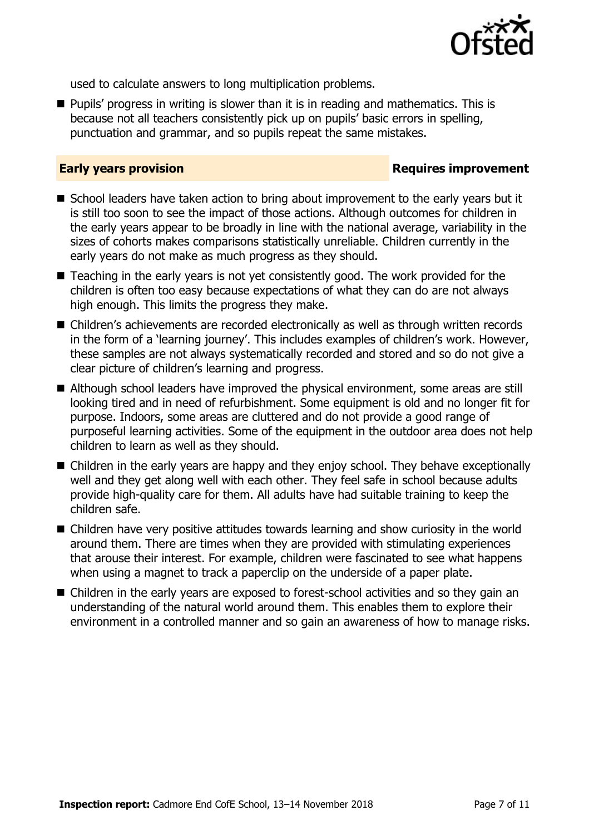

used to calculate answers to long multiplication problems.

**Pupils' progress in writing is slower than it is in reading and mathematics. This is** because not all teachers consistently pick up on pupils' basic errors in spelling, punctuation and grammar, and so pupils repeat the same mistakes.

#### **Early years provision**

- School leaders have taken action to bring about improvement to the early years but it is still too soon to see the impact of those actions. Although outcomes for children in the early years appear to be broadly in line with the national average, variability in the sizes of cohorts makes comparisons statistically unreliable. Children currently in the early years do not make as much progress as they should.
- Teaching in the early years is not yet consistently good. The work provided for the children is often too easy because expectations of what they can do are not always high enough. This limits the progress they make.
- Children's achievements are recorded electronically as well as through written records in the form of a 'learning journey'. This includes examples of children's work. However, these samples are not always systematically recorded and stored and so do not give a clear picture of children's learning and progress.
- Although school leaders have improved the physical environment, some areas are still looking tired and in need of refurbishment. Some equipment is old and no longer fit for purpose. Indoors, some areas are cluttered and do not provide a good range of purposeful learning activities. Some of the equipment in the outdoor area does not help children to learn as well as they should.
- Children in the early years are happy and they enjoy school. They behave exceptionally well and they get along well with each other. They feel safe in school because adults provide high-quality care for them. All adults have had suitable training to keep the children safe.
- Children have very positive attitudes towards learning and show curiosity in the world around them. There are times when they are provided with stimulating experiences that arouse their interest. For example, children were fascinated to see what happens when using a magnet to track a paperclip on the underside of a paper plate.
- Children in the early years are exposed to forest-school activities and so they gain an understanding of the natural world around them. This enables them to explore their environment in a controlled manner and so gain an awareness of how to manage risks.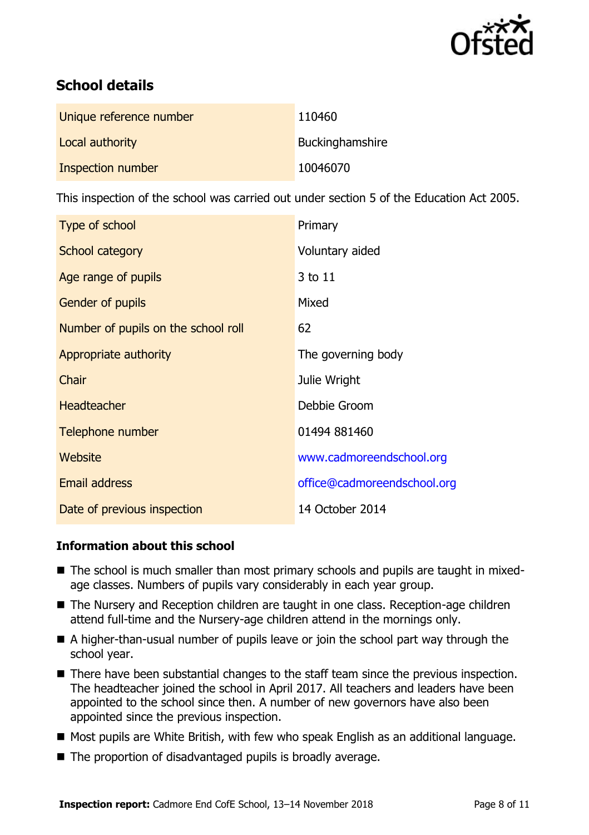

# **School details**

| Unique reference number | 110460          |
|-------------------------|-----------------|
| Local authority         | Buckinghamshire |
| Inspection number       | 10046070        |

This inspection of the school was carried out under section 5 of the Education Act 2005.

| Type of school                      | Primary                     |
|-------------------------------------|-----------------------------|
| School category                     | Voluntary aided             |
| Age range of pupils                 | 3 to 11                     |
| <b>Gender of pupils</b>             | Mixed                       |
| Number of pupils on the school roll | 62                          |
| Appropriate authority               | The governing body          |
| Chair                               | Julie Wright                |
| <b>Headteacher</b>                  | Debbie Groom                |
| Telephone number                    | 01494 881460                |
| Website                             | www.cadmoreendschool.org    |
| <b>Email address</b>                | office@cadmoreendschool.org |
| Date of previous inspection         | 14 October 2014             |

### **Information about this school**

- The school is much smaller than most primary schools and pupils are taught in mixedage classes. Numbers of pupils vary considerably in each year group.
- The Nursery and Reception children are taught in one class. Reception-age children attend full-time and the Nursery-age children attend in the mornings only.
- A higher-than-usual number of pupils leave or join the school part way through the school year.
- There have been substantial changes to the staff team since the previous inspection. The headteacher joined the school in April 2017. All teachers and leaders have been appointed to the school since then. A number of new governors have also been appointed since the previous inspection.
- Most pupils are White British, with few who speak English as an additional language.
- The proportion of disadvantaged pupils is broadly average.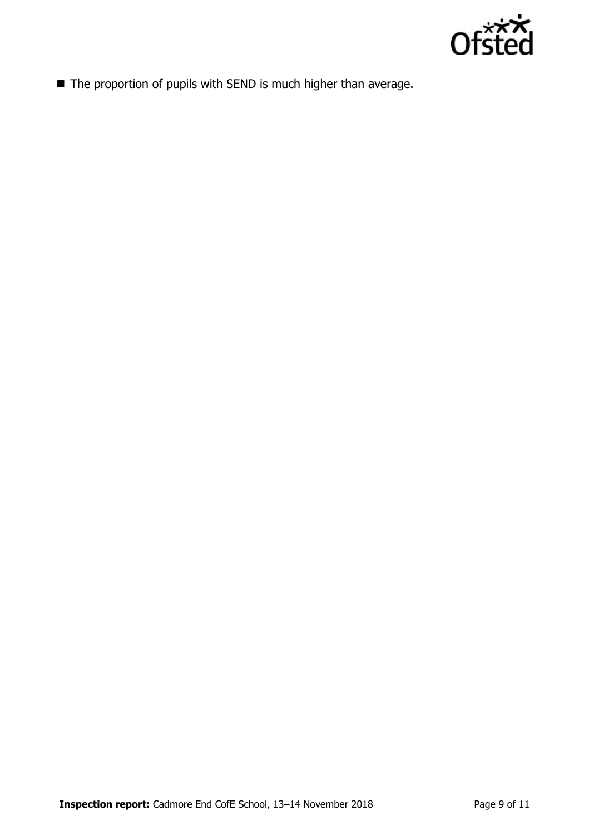

■ The proportion of pupils with SEND is much higher than average.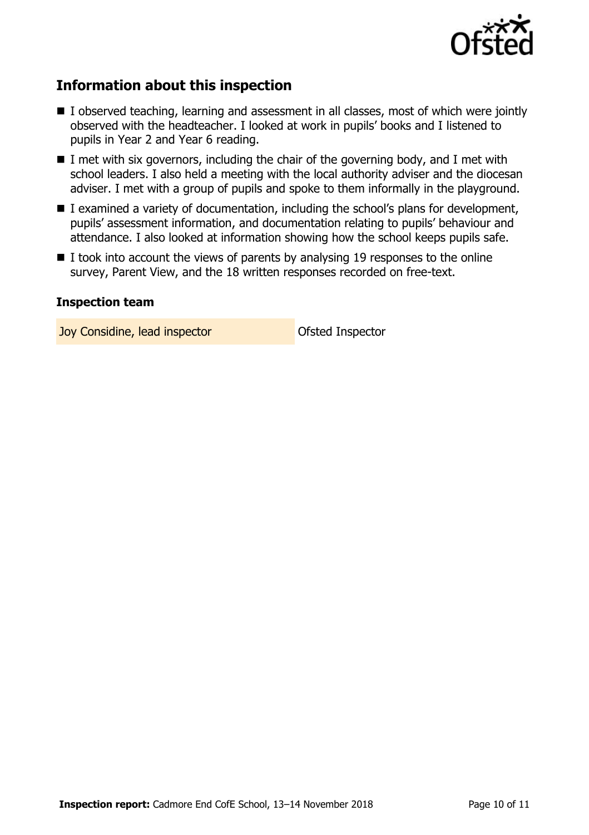

# **Information about this inspection**

- I observed teaching, learning and assessment in all classes, most of which were jointly observed with the headteacher. I looked at work in pupils' books and I listened to pupils in Year 2 and Year 6 reading.
- $\blacksquare$  I met with six governors, including the chair of the governing body, and I met with school leaders. I also held a meeting with the local authority adviser and the diocesan adviser. I met with a group of pupils and spoke to them informally in the playground.
- $\blacksquare$  I examined a variety of documentation, including the school's plans for development, pupils' assessment information, and documentation relating to pupils' behaviour and attendance. I also looked at information showing how the school keeps pupils safe.
- $\blacksquare$  I took into account the views of parents by analysing 19 responses to the online survey, Parent View, and the 18 written responses recorded on free-text.

#### **Inspection team**

**Joy Considine, lead inspector Construction Ofsted Inspector**